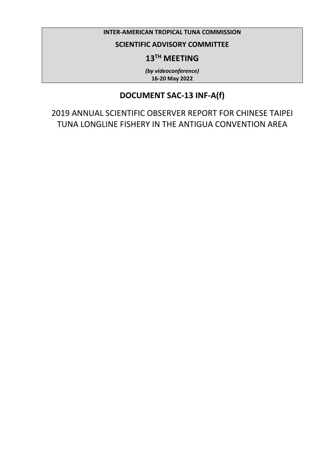## **INTER-AMERICAN TROPICAL TUNA COMMISSION**

## **SCIENTIFIC ADVISORY COMMITTEE**

## **13TH MEETING**

*(by videoconference)* **16-20 May 2022**

## **DOCUMENT SAC-13 INF-A(f)**

2019 ANNUAL SCIENTIFIC OBSERVER REPORT FOR CHINESE TAIPEI TUNA LONGLINE FISHERY IN THE ANTIGUA CONVENTION AREA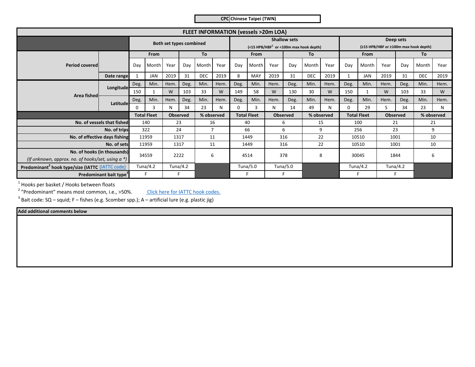**CPC Chinese Taipei (TWN)**

| <b>FLEET INFORMATION (vessels &gt;20m LOA)</b>                                      |                            |          |                         |                 |                      |             |            |                                                                           |                    |        |                 |            |            |                                                    |                    |                 |      |            |            |
|-------------------------------------------------------------------------------------|----------------------------|----------|-------------------------|-----------------|----------------------|-------------|------------|---------------------------------------------------------------------------|--------------------|--------|-----------------|------------|------------|----------------------------------------------------|--------------------|-----------------|------|------------|------------|
|                                                                                     |                            |          | Both set types combined |                 |                      |             |            | <b>Shallow sets</b><br>(<15 HPB/HBF <sup>1</sup> or <100m max hook depth) |                    |        |                 |            |            | Deep sets<br>(≥15 HPB/HBF or ≥100m max hook depth) |                    |                 |      |            |            |
|                                                                                     |                            | From     |                         | To              |                      | <b>From</b> |            | To                                                                        |                    | From   |                 | To         |            |                                                    |                    |                 |      |            |            |
| <b>Period covered</b>                                                               |                            | Dav      | Month                   | Year            | Day                  | Month       | Year       | Day                                                                       | Month              | Year   | Dav             | Month      | Year       | Day                                                | Month              | Year            | Dav  | Month      | Year       |
|                                                                                     | Date range                 |          | JAN                     | 2019            | 31                   | <b>DEC</b>  | 2019       | 8                                                                         | MAY                | 2019   | 31              | <b>DEC</b> | 2019       |                                                    | <b>JAN</b>         | 2019            | 31   | <b>DEC</b> | 2019       |
|                                                                                     |                            | Deg.     | Min.                    | Hem.            | Deg.                 | Min.        | Hem.       | Deg.                                                                      | Min.               | Hem.   | Deg.            | Min.       | Hem.       | Deg.                                               | Min.               | Hem.            | Deg. | Min.       | Hem.       |
| Area fished                                                                         | Longitude-                 | 150      |                         | W               | 103                  | 33          | W          | 149                                                                       | 58                 | W      | 130             | 30         | W          | 150                                                | 1                  | W               | 103  | 33         | W          |
|                                                                                     | Latitude                   | Deg.     | Min.                    | Hem             | Deg.                 | Min.        | Hem.       | Deg.                                                                      | Min.               | Hem.   | Deg.            | Min.       | Hem.       | Deg.                                               | Min.               | Hem.            | Deg. | Min.       | Hem.       |
|                                                                                     |                            | $\Omega$ | 3                       | N               | 34                   | 23          | N          | 0                                                                         | 3                  | N      | 14              | 49         | N          | 0                                                  | 29                 | S               | 34   | 23         | N          |
|                                                                                     |                            |          | <b>Total Fleet</b>      | <b>Observed</b> |                      |             | % observed |                                                                           | <b>Total Fleet</b> |        | <b>Observed</b> |            | % observed |                                                    | <b>Total Fleet</b> | <b>Observed</b> |      |            | % observed |
|                                                                                     | No. of vessels that fished | 140      |                         |                 | 23<br>16             |             | 40         |                                                                           | 15<br>6            |        | 100             |            | 21         |                                                    | 21                 |                 |      |            |            |
|                                                                                     | No. of trips               | 322      |                         |                 | 24<br>$\overline{7}$ |             |            | 66                                                                        |                    | 6<br>9 |                 | 256        |            | 23                                                 |                    | 9               |      |            |            |
| No. of effective days fishing                                                       |                            | 11959    |                         | 1317            |                      | 11          |            | 1449                                                                      |                    | 316    |                 | 22         |            | 10510                                              |                    | 1001            |      | 10         |            |
| No. of sets                                                                         |                            | 11959    |                         | 1317            |                      | 11          |            | 1449                                                                      |                    | 316    |                 | 22         |            | 10510                                              |                    | 1001            |      | 10         |            |
| No. of hooks (in thousands)<br>(If unknown, approx. no. of hooks/set, using $a *$ ) |                            | 34559    |                         | 2222<br>6       |                      | 4514        |            | 378                                                                       |                    | 8      |                 | 30045      |            | 1844                                               |                    | 6               |      |            |            |
| Predominant <sup>2</sup> hook type/size (IATTC (IATTC code)                         |                            | Tuna/4.2 |                         |                 | Tuna/4.2             |             | Tuna/5.0   |                                                                           | Tuna/5.0           |        |                 |            | Tuna/4.2   |                                                    | Tuna/4.2           |                 |      |            |            |
| Predominant bait type <sup>3</sup>                                                  |                            |          |                         |                 |                      |             |            |                                                                           |                    |        |                 |            |            |                                                    |                    |                 |      |            |            |

 $<sup>1</sup>$  Hooks per basket / Hooks between floats</sup>

 $2$  "Predominant" means most common, i.e., >50%.

Click here for IATTC hook codes.

 $^3$  Bait code: SQ – squid; F – fishes (e.g. Scomber spp.); A – artificial lure (e.g. plastic jig)

**Add additional comments below**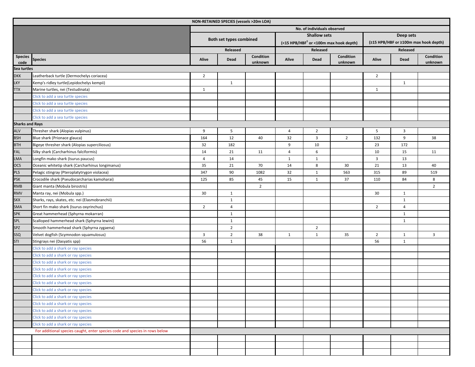| NON-RETAINED SPECIES (vessels >20m LOA) |                                                                             |                             |                         |                      |              |                     |                                                    |                                       |                         |                      |  |  |  |
|-----------------------------------------|-----------------------------------------------------------------------------|-----------------------------|-------------------------|----------------------|--------------|---------------------|----------------------------------------------------|---------------------------------------|-------------------------|----------------------|--|--|--|
|                                         |                                                                             | No. of individuals observed |                         |                      |              |                     |                                                    |                                       |                         |                      |  |  |  |
|                                         |                                                                             |                             |                         |                      |              | <b>Shallow sets</b> |                                                    | Deep sets                             |                         |                      |  |  |  |
|                                         |                                                                             |                             | Both set types combined |                      |              |                     | (<15 HPB/HBF <sup>1</sup> or <100m max hook depth) | (≥15 HPB/HBF or ≥100m max hook depth) |                         |                      |  |  |  |
|                                         |                                                                             |                             | Released                |                      |              | Released            |                                                    | Released                              |                         |                      |  |  |  |
| <b>Species</b><br>code                  | <b>Species</b>                                                              | Alive                       | Dead                    | Condition<br>unknown | Alive        | Dead                | Condition<br>unknown                               | Alive                                 | Dead                    | Condition<br>unknown |  |  |  |
| Sea turtles                             |                                                                             |                             |                         |                      |              |                     |                                                    |                                       |                         |                      |  |  |  |
| <b>DKK</b>                              | Leatherback turtle (Dermochelys coriacea)                                   | $\overline{2}$              |                         |                      |              |                     |                                                    | $\overline{2}$                        |                         |                      |  |  |  |
| <b>LKY</b>                              | Kemp's ridley turtle(Lepidochelys kempii)                                   |                             | $\mathbf{1}$            |                      |              |                     |                                                    |                                       | $\mathbf{1}$            |                      |  |  |  |
| <b>TTX</b>                              | Marine turtles, nei (Testudinata)                                           | $\mathbf{1}$                |                         |                      |              |                     |                                                    | $\mathbf{1}$                          |                         |                      |  |  |  |
|                                         | Click to add a sea turtle species                                           |                             |                         |                      |              |                     |                                                    |                                       |                         |                      |  |  |  |
|                                         | Click to add a sea turtle species                                           |                             |                         |                      |              |                     |                                                    |                                       |                         |                      |  |  |  |
|                                         | Click to add a sea turtle species                                           |                             |                         |                      |              |                     |                                                    |                                       |                         |                      |  |  |  |
|                                         | Click to add a sea turtle species                                           |                             |                         |                      |              |                     |                                                    |                                       |                         |                      |  |  |  |
| <b>Sharks and Rays</b>                  |                                                                             |                             |                         |                      |              |                     |                                                    |                                       |                         |                      |  |  |  |
| <b>ALV</b>                              | Thresher shark (Alopias vulpinus)                                           | 9                           | 5                       |                      | 4            | $\overline{2}$      |                                                    | 5                                     | $\overline{\mathbf{3}}$ |                      |  |  |  |
| <b>BSH</b>                              | Blue shark (Prionace glauca)                                                | 164                         | 12                      | 40                   | 32           | 3                   | $\overline{2}$                                     | 132                                   | 9                       | 38                   |  |  |  |
| <b>BTH</b>                              | Bigeye thresher shark (Alopias superciliosus)                               | 32                          | 182                     |                      | 9            | 10                  |                                                    | 23                                    | 172                     |                      |  |  |  |
| FAL                                     | Silky shark (Carcharhinus falciformis)                                      | 14                          | 21                      | 11                   | 4            | 6                   |                                                    | 10                                    | 15                      | 11                   |  |  |  |
| <b>LMA</b>                              | Longfin mako shark (Isurus paucus)                                          | $\overline{4}$              | 14                      |                      | $\mathbf{1}$ | 1                   |                                                    | $\overline{3}$                        | 13                      |                      |  |  |  |
| <b>OCS</b>                              | Oceanic whitetip shark (Carcharhinus longimanus)                            | 35                          | 21                      | 70                   | 14           | 8                   | 30                                                 | 21                                    | 13                      | 40                   |  |  |  |
| <b>PLS</b>                              | Pelagic stingray (Pteroplatytrygon violacea)                                | 347                         | 90                      | 1082                 | 32           | 1                   | 563                                                | 315                                   | 89                      | 519                  |  |  |  |
| <b>PSK</b>                              | Crocodile shark (Pseudocarcharias kamoharai)                                | 125                         | 85                      | 45                   | 15           | 1                   | 37                                                 | 110                                   | 84                      | 8                    |  |  |  |
| <b>RMB</b>                              | Giant manta (Mobula birostris)                                              |                             |                         | $\overline{2}$       |              |                     |                                                    |                                       |                         | $\overline{2}$       |  |  |  |
| <b>RMV</b>                              | Manta ray, nei (Mobula spp.)                                                | 30                          | $\mathbf{1}$            |                      |              |                     |                                                    | 30                                    | $\mathbf{1}$            |                      |  |  |  |
| <b>SKX</b>                              | Sharks, rays, skates, etc. nei (Elasmobranchii)                             |                             | 1                       |                      |              |                     |                                                    |                                       | $\mathbf{1}$            |                      |  |  |  |
| <b>SMA</b>                              | Short fin mako shark (Isurus oxyrinchus)                                    | $\overline{2}$              | $\overline{4}$          |                      |              |                     |                                                    | $\overline{2}$                        | 4                       |                      |  |  |  |
| <b>SPK</b>                              | Great hammerhead (Sphyrna mokarran)                                         |                             | $\mathbf{1}$            |                      |              |                     |                                                    |                                       | $\mathbf{1}$            |                      |  |  |  |
| SPL                                     | Scalloped hammerhead shark (Sphyrna lewini)                                 |                             | $\mathbf{1}$            |                      |              |                     |                                                    |                                       | $\mathbf{1}$            |                      |  |  |  |
| SPZ                                     | Smooth hammerhead shark (Sphyrna zygaena)                                   |                             | $\overline{2}$          |                      |              | $\overline{2}$      |                                                    |                                       |                         |                      |  |  |  |
| SSQ                                     | Velvet dogfish (Scymnodon squamulosus)                                      | $\overline{\mathbf{3}}$     | $\overline{2}$          | 38                   | $\mathbf{1}$ | 1                   | 35                                                 | $\overline{2}$                        | $\mathbf{1}$            | 3                    |  |  |  |
| STI                                     | Stingrays nei (Dasyatis spp)                                                | 56                          | $\mathbf{1}$            |                      |              |                     |                                                    | 56                                    | $\mathbf{1}$            |                      |  |  |  |
|                                         | Click to add a shark or ray species                                         |                             |                         |                      |              |                     |                                                    |                                       |                         |                      |  |  |  |
|                                         | Click to add a shark or ray species                                         |                             |                         |                      |              |                     |                                                    |                                       |                         |                      |  |  |  |
|                                         | Click to add a shark or ray species                                         |                             |                         |                      |              |                     |                                                    |                                       |                         |                      |  |  |  |
|                                         | Click to add a shark or ray species                                         |                             |                         |                      |              |                     |                                                    |                                       |                         |                      |  |  |  |
|                                         | Click to add a shark or ray species                                         |                             |                         |                      |              |                     |                                                    |                                       |                         |                      |  |  |  |
|                                         | Click to add a shark or ray species                                         |                             |                         |                      |              |                     |                                                    |                                       |                         |                      |  |  |  |
|                                         | Click to add a shark or ray species                                         |                             |                         |                      |              |                     |                                                    |                                       |                         |                      |  |  |  |
|                                         | Click to add a shark or ray species                                         |                             |                         |                      |              |                     |                                                    |                                       |                         |                      |  |  |  |
|                                         | Click to add a shark or ray species                                         |                             |                         |                      |              |                     |                                                    |                                       |                         |                      |  |  |  |
|                                         | Click to add a shark or ray species                                         |                             |                         |                      |              |                     |                                                    |                                       |                         |                      |  |  |  |
|                                         | Click to add a shark or ray species                                         |                             |                         |                      |              |                     |                                                    |                                       |                         |                      |  |  |  |
|                                         | Click to add a shark or ray species                                         |                             |                         |                      |              |                     |                                                    |                                       |                         |                      |  |  |  |
|                                         | For additional species caught, enter species code and species in rows below |                             |                         |                      |              |                     |                                                    |                                       |                         |                      |  |  |  |
|                                         |                                                                             |                             |                         |                      |              |                     |                                                    |                                       |                         |                      |  |  |  |
|                                         |                                                                             |                             |                         |                      |              |                     |                                                    |                                       |                         |                      |  |  |  |
|                                         |                                                                             |                             |                         |                      |              |                     |                                                    |                                       |                         |                      |  |  |  |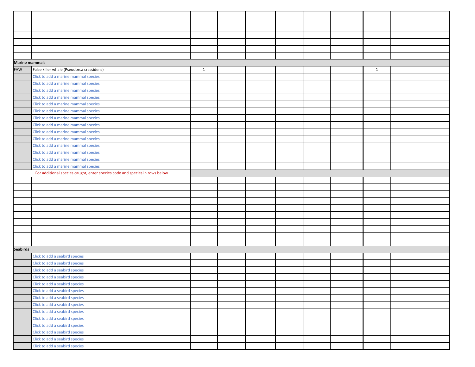| <b>Marine mammals</b> |                                                                             |              |  |  |              |  |
|-----------------------|-----------------------------------------------------------------------------|--------------|--|--|--------------|--|
| FAW                   | False killer whale (Pseudorca crassidens)                                   | $\mathbf{1}$ |  |  | $\mathbf{1}$ |  |
|                       | Click to add a marine mammal species                                        |              |  |  |              |  |
|                       | Click to add a marine mammal species                                        |              |  |  |              |  |
|                       | Click to add a marine mammal species                                        |              |  |  |              |  |
|                       | Click to add a marine mammal species                                        |              |  |  |              |  |
|                       | Click to add a marine mammal species                                        |              |  |  |              |  |
|                       | Click to add a marine mammal species                                        |              |  |  |              |  |
|                       | Click to add a marine mammal species                                        |              |  |  |              |  |
|                       | Click to add a marine mammal species                                        |              |  |  |              |  |
|                       | Click to add a marine mammal species                                        |              |  |  |              |  |
|                       | Click to add a marine mammal species                                        |              |  |  |              |  |
|                       | Click to add a marine mammal species                                        |              |  |  |              |  |
|                       | Click to add a marine mammal species                                        |              |  |  |              |  |
|                       | Click to add a marine mammal species                                        |              |  |  |              |  |
|                       | Click to add a marine mammal species                                        |              |  |  |              |  |
|                       | For additional species caught, enter species code and species in rows below |              |  |  |              |  |
|                       |                                                                             |              |  |  |              |  |
|                       |                                                                             |              |  |  |              |  |
|                       |                                                                             |              |  |  |              |  |
|                       |                                                                             |              |  |  |              |  |
|                       |                                                                             |              |  |  |              |  |
|                       |                                                                             |              |  |  |              |  |
|                       |                                                                             |              |  |  |              |  |
|                       |                                                                             |              |  |  |              |  |
|                       |                                                                             |              |  |  |              |  |
|                       |                                                                             |              |  |  |              |  |
| <b>Seabirds</b>       |                                                                             |              |  |  |              |  |
|                       | Click to add a seabird species<br>Click to add a seabird species            |              |  |  |              |  |
|                       | Click to add a seabird species                                              |              |  |  |              |  |
|                       | Click to add a seabird species                                              |              |  |  |              |  |
|                       | Click to add a seabird species                                              |              |  |  |              |  |
|                       | Click to add a seabird species                                              |              |  |  |              |  |
|                       | Click to add a seabird species                                              |              |  |  |              |  |
|                       | Click to add a seabird species                                              |              |  |  |              |  |
|                       | Click to add a seabird species                                              |              |  |  |              |  |
|                       | Click to add a seabird species                                              |              |  |  |              |  |
|                       | Click to add a seabird species                                              |              |  |  |              |  |
|                       | Click to add a seabird species                                              |              |  |  |              |  |
|                       | Click to add a seabird species                                              |              |  |  |              |  |
|                       | Click to add a seabird species                                              |              |  |  |              |  |